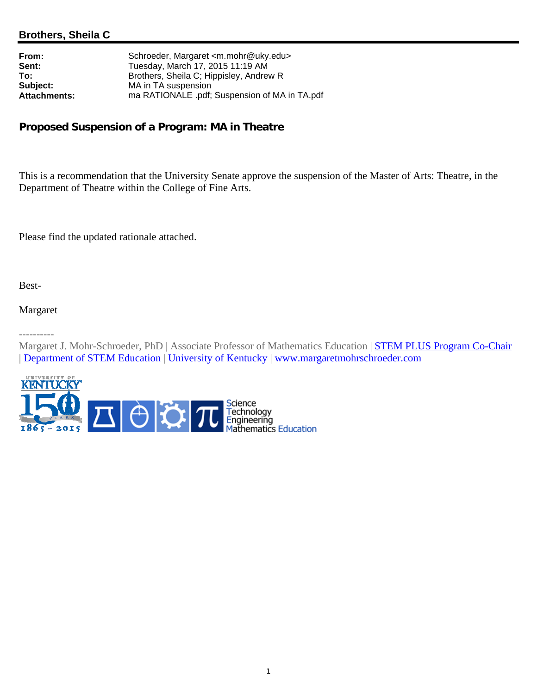## **Brothers, Sheila C**

| Schroeder, Margaret <m.mohr@uky.edu></m.mohr@uky.edu> |
|-------------------------------------------------------|
| Tuesday, March 17, 2015 11:19 AM                      |
| Brothers, Sheila C; Hippisley, Andrew R               |
| MA in TA suspension                                   |
| ma RATIONALE .pdf; Suspension of MA in TA.pdf         |
|                                                       |

## **Proposed Suspension of a Program: MA in Theatre**

This is a recommendation that the University Senate approve the suspension of the Master of Arts: Theatre, in the Department of Theatre within the College of Fine Arts.

Please find the updated rationale attached.

Best-

Margaret

----------

Margaret J. Mohr-Schroeder, PhD | Associate Professor of Mathematics Education | **STEM PLUS Program Co-Chair** | Department of STEM Education | University of Kentucky | www.margaretmohrschroeder.com

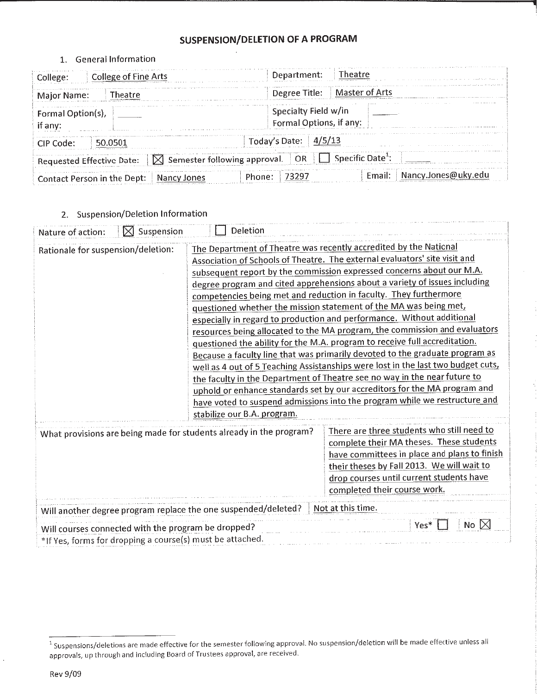# **SUSPENSION/DELETION OF A PROGRAM**

### 1. General Information

| College of Fine Arts<br>College: I                                | Theatre<br>Department:                             |
|-------------------------------------------------------------------|----------------------------------------------------|
| Major Name:<br>heatre                                             | Degree Title:   Master of Arts                     |
| Formal Option(s),<br>if any:                                      | Specialty Field w/in<br>Formal Options, if any:    |
| CIP Code:                                                         | Today's Date: $4/5/13$                             |
| $\vert$ Semester following approval.<br>Requested Effective Date: | Specific Date <sup>+</sup> :<br>OR                 |
| Contact Person in the Dept:<br>Nancy Jones                        | Nancy.Jones@uky.edu<br>Fmail:<br>- 73297<br>Phone: |

2. Suspension/Deletion Information

| Nature of action:                                   | $\boxtimes$ Suspension | Deletion                                                                                                                                                                                                                                                                                                                                                                                                                                                                                                                                                                                                                                                                                                                                                                                                                                                                                                                                                                                                                                                                                                                          |                                                                                                                                                                                                                                                                  |  |  |
|-----------------------------------------------------|------------------------|-----------------------------------------------------------------------------------------------------------------------------------------------------------------------------------------------------------------------------------------------------------------------------------------------------------------------------------------------------------------------------------------------------------------------------------------------------------------------------------------------------------------------------------------------------------------------------------------------------------------------------------------------------------------------------------------------------------------------------------------------------------------------------------------------------------------------------------------------------------------------------------------------------------------------------------------------------------------------------------------------------------------------------------------------------------------------------------------------------------------------------------|------------------------------------------------------------------------------------------------------------------------------------------------------------------------------------------------------------------------------------------------------------------|--|--|
| Rationale for suspension/deletion:                  |                        | The Department of Theatre was recently accredited by the National<br>Association of Schools of Theatre. The external evaluators' site visit and<br>subsequent report by the commission expressed concerns about our M.A.<br>degree program and cited apprehensions about a variety of issues including<br>competencies being met and reduction in faculty. They furthermore<br>questioned whether the mission statement of the MA was being met,<br>especially in regard to production and performance. Without additional<br>resources being allocated to the MA program, the commission and evaluators<br>questioned the ability for the M.A. program to receive full accreditation.<br>Because a faculty line that was primarily devoted to the graduate program as<br>well as 4 out of 5 Teaching Assistanships were lost in the last two budget cuts,<br>the faculty in the Department of Theatre see no way in the near future to<br>uphold or enhance standards set by our accreditors for the MA program and<br>have voted to suspend admissions into the program while we restructure and<br>stabilize our B.A. program. |                                                                                                                                                                                                                                                                  |  |  |
|                                                     |                        | What provisions are being made for students already in the program?                                                                                                                                                                                                                                                                                                                                                                                                                                                                                                                                                                                                                                                                                                                                                                                                                                                                                                                                                                                                                                                               | There are three students who still need to<br>complete their MA theses. These students<br>have committees in place and plans to finish<br>their theses by Fall 2013. We will wait to<br>drop courses until current students have<br>completed their course work. |  |  |
|                                                     |                        | Will another degree program replace the one suspended/deleted?                                                                                                                                                                                                                                                                                                                                                                                                                                                                                                                                                                                                                                                                                                                                                                                                                                                                                                                                                                                                                                                                    | Not at this time.                                                                                                                                                                                                                                                |  |  |
| Will courses connected with the program be dropped? |                        | *If Yes, forms for dropping a course(s) must be attached.                                                                                                                                                                                                                                                                                                                                                                                                                                                                                                                                                                                                                                                                                                                                                                                                                                                                                                                                                                                                                                                                         | No $ X $<br>Yes*                                                                                                                                                                                                                                                 |  |  |

<sup>&</sup>lt;sup>1</sup> Suspensions/deletions are made effective for the semester following approval. No suspension/deletion will be made effective unless all approvals, up through and including Board of Trustees approval, are received.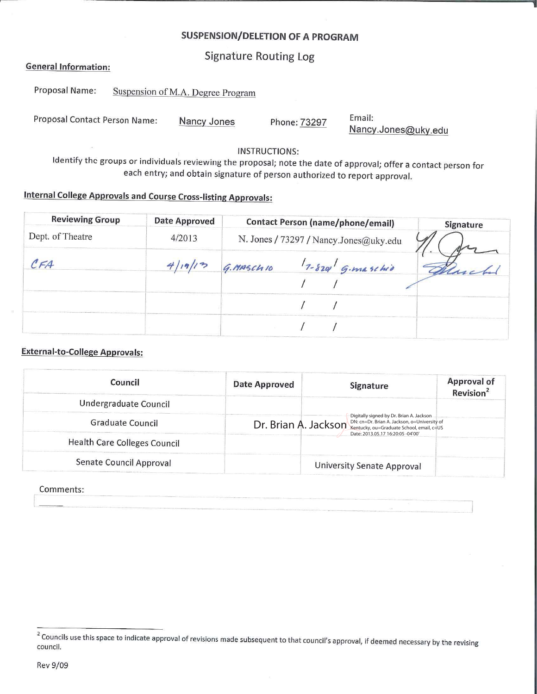# **SUSPENSION/DELETION OF A PROGRAM**

**Signature Routing Log** 

### **General Information:**

| Proposal Name:                | Suspension of M.A. Degree Program |              |        |  |  |
|-------------------------------|-----------------------------------|--------------|--------|--|--|
| Proposal Contact Person Name: | Nancy Jones                       | Phone: 73297 | Email: |  |  |

**INSTRUCTIONS:** 

Nancy.Jones@uky.edu

Identify the groups or individuals reviewing the proposal; note the date of approval; offer a contact person for each entry; and obtain signature of person authorized to report approval.

# **Internal College Approvals and Course Cross-listing Approvals:**

| <b>Reviewing Group</b> | <b>Date Approved</b> | <b>Contact Person (name/phone/email)</b> | Signature |
|------------------------|----------------------|------------------------------------------|-----------|
| Dept. of Theatre       | 4/2013               | N. Jones / 73297 / Nancy.Jones@uky.edu   |           |
| CFA                    |                      | $7 - 820$ G. maschio<br>G. MASCH 10      |           |
|                        |                      |                                          |           |
|                        |                      |                                          |           |
|                        |                      |                                          |           |

## **External-to-College Approvals:**

| Council                      | Date Approved | Signature                                                                                                                                       | <b>Approval of</b><br>Revision <sup>2</sup> |
|------------------------------|---------------|-------------------------------------------------------------------------------------------------------------------------------------------------|---------------------------------------------|
| Undergraduate Council        |               |                                                                                                                                                 |                                             |
| Graduate Council             |               | Digitally signed by Dr. Brian A. Jackson<br>Dr. Brian A. Jackson Rentucky, ou=Graduate School, email, c=US<br>Date: 2013.05.17 16:20:05 -04'00' |                                             |
| Health Care Colleges Council |               |                                                                                                                                                 |                                             |
| Senate Council Approval      |               | University Senate Approval                                                                                                                      |                                             |

#### Comments:

<sup>&</sup>lt;sup>2</sup> Councils use this space to indicate approval of revisions made subsequent to that council's approval, if deemed necessary by the revising council.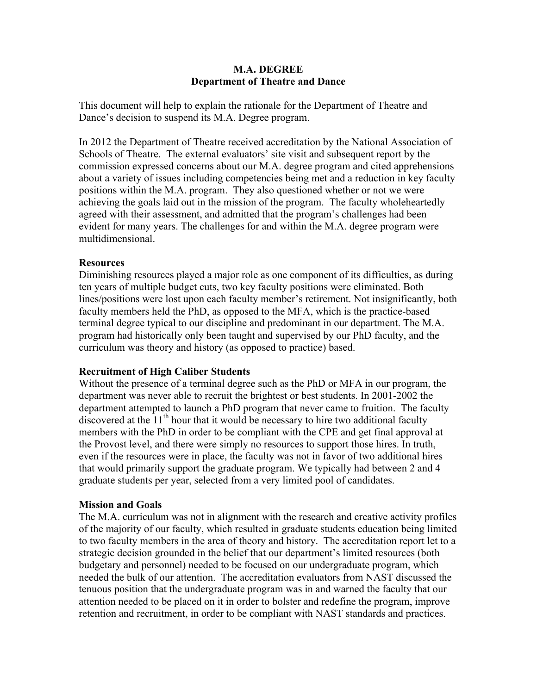## **M.A. DEGREE Department of Theatre and Dance**

This document will help to explain the rationale for the Department of Theatre and Dance's decision to suspend its M.A. Degree program.

In 2012 the Department of Theatre received accreditation by the National Association of Schools of Theatre. The external evaluators' site visit and subsequent report by the commission expressed concerns about our M.A. degree program and cited apprehensions about a variety of issues including competencies being met and a reduction in key faculty positions within the M.A. program. They also questioned whether or not we were achieving the goals laid out in the mission of the program. The faculty wholeheartedly agreed with their assessment, and admitted that the program's challenges had been evident for many years. The challenges for and within the M.A. degree program were multidimensional.

## **Resources**

Diminishing resources played a major role as one component of its difficulties, as during ten years of multiple budget cuts, two key faculty positions were eliminated. Both lines/positions were lost upon each faculty member's retirement. Not insignificantly, both faculty members held the PhD, as opposed to the MFA, which is the practice-based terminal degree typical to our discipline and predominant in our department. The M.A. program had historically only been taught and supervised by our PhD faculty, and the curriculum was theory and history (as opposed to practice) based.

## **Recruitment of High Caliber Students**

Without the presence of a terminal degree such as the PhD or MFA in our program, the department was never able to recruit the brightest or best students. In 2001-2002 the department attempted to launch a PhD program that never came to fruition. The faculty discovered at the  $11<sup>th</sup>$  hour that it would be necessary to hire two additional faculty members with the PhD in order to be compliant with the CPE and get final approval at the Provost level, and there were simply no resources to support those hires. In truth, even if the resources were in place, the faculty was not in favor of two additional hires that would primarily support the graduate program. We typically had between 2 and 4 graduate students per year, selected from a very limited pool of candidates.

## **Mission and Goals**

The M.A. curriculum was not in alignment with the research and creative activity profiles of the majority of our faculty, which resulted in graduate students education being limited to two faculty members in the area of theory and history. The accreditation report let to a strategic decision grounded in the belief that our department's limited resources (both budgetary and personnel) needed to be focused on our undergraduate program, which needed the bulk of our attention. The accreditation evaluators from NAST discussed the tenuous position that the undergraduate program was in and warned the faculty that our attention needed to be placed on it in order to bolster and redefine the program, improve retention and recruitment, in order to be compliant with NAST standards and practices.